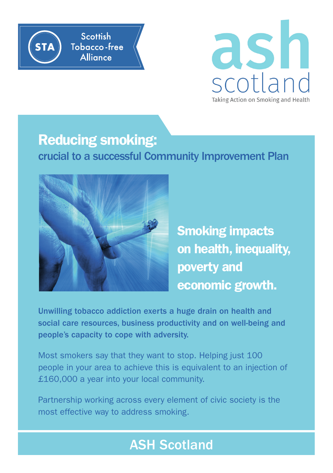



## Reducing smoking:

crucial to a successful Community Improvement Plan



Smoking impacts on health, inequality, poverty and economic growth.

Unwilling tobacco addiction exerts a huge drain on health and social care resources, business productivity and on well-being and people's capacity to cope with adversity.

Most smokers say that they want to stop. Helping just 100 people in your area to achieve this is equivalent to an injection of £160,000 a year into your local community.

Partnership working across every element of civic society is the most effective way to address smoking.

## ASH Scotland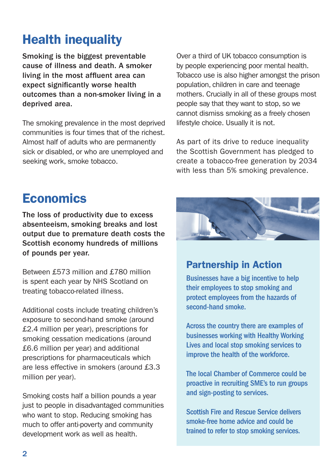# Health inequality

Smoking is the biggest preventable cause of illness and death. A smoker living in the most affluent area can expect significantly worse health outcomes than a non-smoker living in a deprived area.

The smoking prevalence in the most deprived communities is four times that of the richest. Almost half of adults who are permanently sick or disabled, or who are unemployed and seeking work, smoke tobacco.

Over a third of UK tobacco consumption is by people experiencing poor mental health. Tobacco use is also higher amongst the prison population, children in care and teenage mothers. Crucially in all of these groups most people say that they want to stop, so we cannot dismiss smoking as a freely chosen lifestyle choice. Usually it is not.

As part of its drive to reduce inequality the Scottish Government has pledged to create a tobacco-free generation by 2034 with less than 5% smoking prevalence.

## **Economics**

The loss of productivity due to excess absenteeism, smoking breaks and lost output due to premature death costs the Scottish economy hundreds of millions of pounds per year.

Between £573 million and £780 million is spent each year by NHS Scotland on treating tobacco-related illness.

Additional costs include treating children's exposure to second-hand smoke (around £2.4 million per year), prescriptions for smoking cessation medications (around £6.6 million per year) and additional prescriptions for pharmaceuticals which are less effective in smokers (around £3.3 million per year).

Smoking costs half a billion pounds a year just to people in disadvantaged communities who want to stop. Reducing smoking has much to offer anti-poverty and community development work as well as health.



#### Partnership in Action

Businesses have a big incentive to help their employees to stop smoking and protect employees from the hazards of second-hand smoke.

Across the country there are examples of businesses working with Healthy Working Lives and local stop smoking services to improve the health of the workforce.

The local Chamber of Commerce could be proactive in recruiting SME's to run groups and sign-posting to services.

Scottish Fire and Rescue Service delivers smoke-free home advice and could be trained to refer to stop smoking services.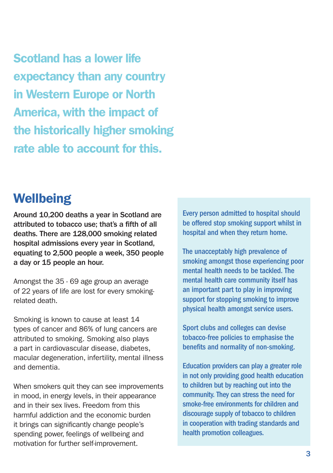Scotland has a lower life expectancy than any country in Western Europe or North America, with the impact of the historically higher smoking rate able to account for this.

### **Wellbeing**

Around 10,200 deaths a year in Scotland are attributed to tobacco use; that's a fifth of all deaths. There are 128,000 smoking related hospital admissions every year in Scotland, equating to 2,500 people a week, 350 people a day or 15 people an hour.

Amongst the 35 - 69 age group an average of 22 years of life are lost for every smokingrelated death.

Smoking is known to cause at least 14 types of cancer and 86% of lung cancers are attributed to smoking. Smoking also plays a part in cardiovascular disease, diabetes, macular degeneration, infertility, mental illness and dementia.

When smokers quit they can see improvements in mood, in energy levels, in their appearance and in their sex lives. Freedom from this harmful addiction and the economic burden it brings can significantly change people's spending power, feelings of wellbeing and motivation for further self-improvement.

Every person admitted to hospital should be offered stop smoking support whilst in hospital and when they return home.

The unacceptably high prevalence of smoking amongst those experiencing poor mental health needs to be tackled. The mental health care community itself has an important part to play in improving support for stopping smoking to improve physical health amongst service users.

Sport clubs and colleges can devise tobacco-free policies to emphasise the benefits and normality of non-smoking.

Education providers can play a greater role in not only providing good health education to children but by reaching out into the community. They can stress the need for smoke-free environments for children and discourage supply of tobacco to children in cooperation with trading standards and health promotion colleagues.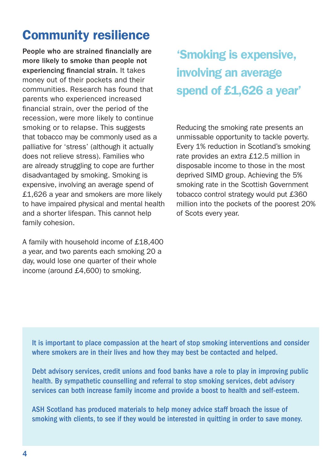## Community resilience

People who are strained financially are more likely to smoke than people not experiencing financial strain. It takes money out of their pockets and their communities. Research has found that parents who experienced increased financial strain, over the period of the recession, were more likely to continue smoking or to relapse. This suggests that tobacco may be commonly used as a palliative for 'stress' (although it actually does not relieve stress). Families who are already struggling to cope are further disadvantaged by smoking. Smoking is expensive, involving an average spend of £1,626 a year and smokers are more likely to have impaired physical and mental health and a shorter lifespan. This cannot help family cohesion.

A family with household income of £18,400 a year, and two parents each smoking 20 a day, would lose one quarter of their whole income (around £4,600) to smoking.

'Smoking is expensive, involving an average spend of £1,626 a year'

Reducing the smoking rate presents an unmissable opportunity to tackle poverty. Every 1% reduction in Scotland's smoking rate provides an extra £12.5 million in disposable income to those in the most deprived SIMD group. Achieving the 5% smoking rate in the Scottish Government tobacco control strategy would put £360 million into the pockets of the poorest 20% of Scots every year.

It is important to place compassion at the heart of stop smoking interventions and consider where smokers are in their lives and how they may best be contacted and helped.

Debt advisory services, credit unions and food banks have a role to play in improving public health. By sympathetic counselling and referral to stop smoking services, debt advisory services can both increase family income and provide a boost to health and self-esteem.

ASH Scotland has produced materials to help money advice staff broach the issue of smoking with clients, to see if they would be interested in quitting in order to save money.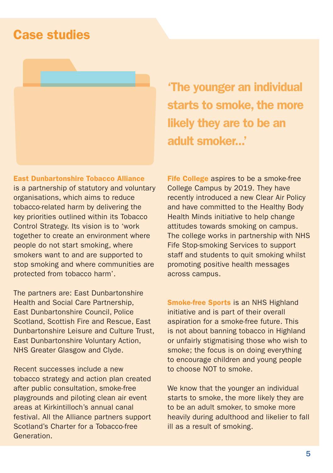### Case studies

#### East Dunbartonshire Tobacco Alliance

is a partnership of statutory and voluntary organisations, which aims to reduce tobacco-related harm by delivering the key priorities outlined within its Tobacco Control Strategy. Its vision is to 'work together to create an environment where people do not start smoking, where smokers want to and are supported to stop smoking and where communities are protected from tobacco harm'.

The partners are: East Dunbartonshire Health and Social Care Partnership, East Dunbartonshire Council, Police Scotland, Scottish Fire and Rescue, East Dunbartonshire Leisure and Culture Trust, East Dunbartonshire Voluntary Action, NHS Greater Glasgow and Clyde.

Recent successes include a new tobacco strategy and action plan created after public consultation, smoke-free playgrounds and piloting clean air event areas at Kirkintilloch's annual canal festival. All the Alliance partners support Scotland's Charter for a Tobacco-free Generation.

'The younger an individual starts to smoke, the more likely they are to be an adult smoker...'

Fife College aspires to be a smoke-free College Campus by 2019. They have recently introduced a new Clear Air Policy and have committed to the Healthy Body Health Minds initiative to help change attitudes towards smoking on campus. The college works in partnership with NHS Fife Stop-smoking Services to support staff and students to quit smoking whilst promoting positive health messages across campus.

Smoke-free Sports is an NHS Highland initiative and is part of their overall aspiration for a smoke-free future. This is not about banning tobacco in Highland or unfairly stigmatising those who wish to smoke; the focus is on doing everything to encourage children and young people to choose NOT to smoke.

We know that the younger an individual starts to smoke, the more likely they are to be an adult smoker, to smoke more heavily during adulthood and likelier to fall ill as a result of smoking.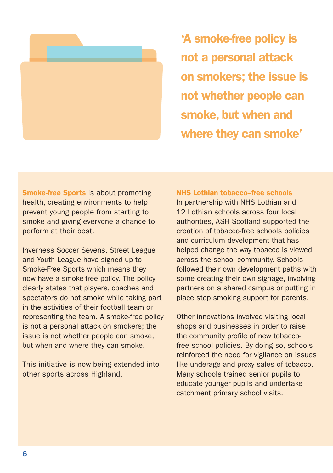

'A smoke-free policy is not a personal attack on smokers; the issue is not whether people can smoke, but when and where they can smoke'

Smoke-free Sports is about promoting health, creating environments to help prevent young people from starting to smoke and giving everyone a chance to perform at their best.

Inverness Soccer Sevens, Street League and Youth League have signed up to Smoke-Free Sports which means they now have a smoke-free policy. The policy clearly states that players, coaches and spectators do not smoke while taking part in the activities of their football team or representing the team. A smoke-free policy is not a personal attack on smokers; the issue is not whether people can smoke, but when and where they can smoke.

This initiative is now being extended into other sports across Highland.

#### NHS Lothian tobacco–free schools

In partnership with NHS Lothian and 12 Lothian schools across four local authorities, ASH Scotland supported the creation of tobacco-free schools policies and curriculum development that has helped change the way tobacco is viewed across the school community. Schools followed their own development paths with some creating their own signage, involving partners on a shared campus or putting in place stop smoking support for parents.

Other innovations involved visiting local shops and businesses in order to raise the community profile of new tobaccofree school policies. By doing so, schools reinforced the need for vigilance on issues like underage and proxy sales of tobacco. Many schools trained senior pupils to educate younger pupils and undertake catchment primary school visits.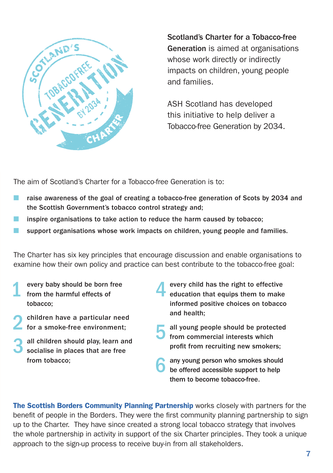

Scotland's Charter for a Tobacco-free Generation is aimed at organisations whose work directly or indirectly impacts on children, young people and families.

ASH Scotland has developed this initiative to help deliver a Tobacco-free Generation by 2034.

The aim of Scotland's Charter for a Tobacco-free Generation is to:

- raise awareness of the goal of creating a tobacco-free generation of Scots by 2034 and the Scottish Government's tobacco control strategy and;
- inspire organisations to take action to reduce the harm caused by tobacco;
- support organisations whose work impacts on children, young people and families.

The Charter has six key principles that encourage discussion and enable organisations to examine how their own policy and practice can best contribute to the tobacco-free goal:

- every baby should be born free from the harmful effects of tobacco;
- 2 children have a particular need for a smoke-free environment;
- all children should play, learn and socialise in places that are free from tobacco;
- 4 every child has the right to effective education that equips them to make informed positive choices on tobacco and health;
- all young people should be protected from commercial interests which profit from recruiting new smokers;
- any young person who smokes should be offered accessible support to help them to become tobacco-free.

The Scottish Borders Community Planning Partnership works closely with partners for the benefit of people in the Borders. They were the first community planning partnership to sign up to the Charter. They have since created a strong local tobacco strategy that involves the whole partnership in activity in support of the six Charter principles. They took a unique approach to the sign-up process to receive buy-in from all stakeholders.